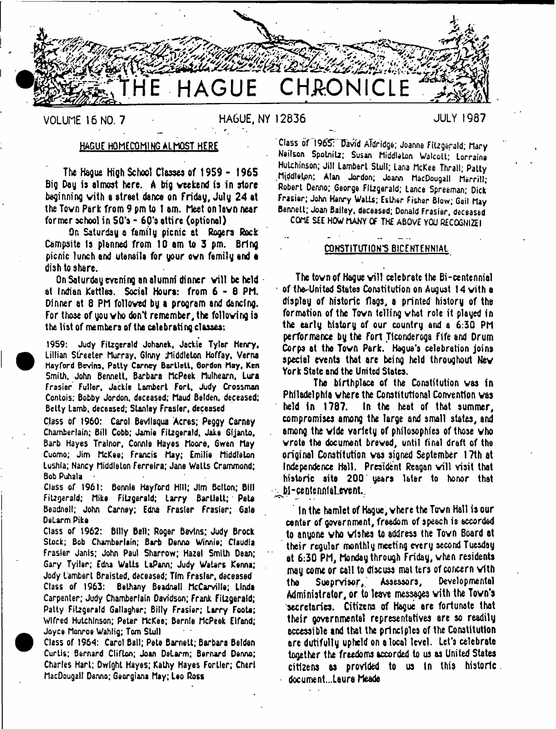**CHRONICLE** 

**VOLUME 16 NO. 7 HAGUE, NY 12836 JULY 1987**

## HAGUE HOMECOMING ALMOST HERE

The Hague high School Classes of 1959 - 1965 Big Day is almost here. A big weekend is in store beginning with a street dance on Friday, July 24 at the Tovn Park from 9 pm to 1 am. Meet on lavn near former school in SG'a - 60's attire (optional)

On Saturday a family picnic at Rogers Rock Campsite Is planned from 10 am to 3 pm. Bring picnic lunch and utenails for your ovn family and a dish to share.

On Saturday evening an alumni dinner will be held at Indian Kettles. Social Hours: from 6 - 8 PM. Dinner at 6 PM folloved by **a** program and dancing. For those of you vho don't remember, the following is the list of members of the celebrating classes:

1959: Judy Fitzgerald Johanek, Jackie Tyler Henry, Lillian Streeter Murray, Glnny Jliddleton Hoffay, Verna Hoy ford Devins, Patty Carney Bartlett, Borden May, Ken Smith, John Bennett. Barbara McPeek Muthearn, Lura Frasier Fuller, Jackie Lambert Fort, Judy Crossman Contois; Bobby Jordon, deceased; Maud Betden, deceased; Betty Lamb, deceased; Stanley Frasier, deceased

Class of 1960: Carol Bevliaqua Acres; Peggy Carney Chamberlain; Bill Cobb; Jamie Fitzgerald, Jake Gijanto, Barb Hayes Tralnor, Connie Hayes Moore, Gwen May Cuomo; Jim McKee; Francis May; Emilio Middleton Lushia; Nancy Middleton Ferreira; Jane Walls Crammond; Bob Puhala

Class of 1961: Bonnie Hayford HIM; Jim Belton; Bill Fitzgerald; Mike Fitzgerald; Larry Bartlett; Pete Beadnell; John Carney; Edna Frasier Frasier; Gale DeLarm Pike

Class of 1962: Bttty Bell; Roger Bevins; Judy Brock Stock; Bob Chamberlain; Barb Denno Winnie; Claudia Frasier Janis; John Paul Sharrow; Hazel Smith Dean; Gary Tyiler; Edna Watts LaPann; Judy Waters Kenna; Jody Lambert Braisted, deceased; Tim Fresler, deceased Class of 1963: Bethany Beadnell McCarville; Linda Carpenter; Judy Chamberlain Davidson; Frank Fitzgerald; Patty Fitzgerald Gallagher; Bitty Frasier; Larry Foote; Wlfred Hutchinson; Peter McKee; Bernle McPeek Etfand; Joyce Monroe Wahlig; Tom Stull

Class of 1964: Carol Ball; Pete Barnett; Barbara Betden Curtis; Bernard Clifton; Joan DeLarm; Bernard Denno; Charles Hart; Dwight Hayes; Kathy Hayes Fortier; Cher! MacDougall Denno; Georgians May; Leo Ross

Class of 1965: David Aldridge; Joanne Fitzgerald; Mary Neilson Spotnitz; Susan Middleton Walcott; Lorraine Hutchinson; Jill Lambert Stull; Lana McKee Thrall; Patty Middleton; Alan Jordon; Joann MacDougall Merrill; Robert Denno; George Fitzgerald; Lance Spreeman; Dick Frasier; John Henry WaLis; Esther Fisher Blow; Gail May Bennett; Joan Bailey, deceased; Donald Frasier, deceased

COME SEE HOW MANY OF THE ABOVE YOU RECOGNIZE I

### CONSTITUTION'S BICENTENNIAL

The town of Hague will celebrate the Bi-centennial of the-United States Constitution on August 14 with a display of historic flags, a printed history of the formation of the Tovn telling vhat role it played in the early history of our country and a 6:30 PM performance by the Fort Ticonderoga Fife and Drum Corps at the Tovn Park. Hague's celebration joins special events that are being held throughout Nev York State and the United States.

The birthplace of the Constitution vas in Philadelphia where the Constitutional Convention vas held in 1787. In the heat of that summer, compromises among the large and small states, and among the vide variety of philosophies of those vho wrote the document brewed, until final draft of the original Constitution vas signed September 17th at Independence Hall. President Reagan will visit that historic site 200 years later to honor that  $\sim$  Di-centennial event.

In the hamlet of Hague, where the Tovn Hall Is our center of government, freedom of speech is accorded to anyone vho wishes to address the Tovn Board at their regular monthly meeting every second Tuesday at 6:30 PM, Monday through Friday, when residents may come or call to discuss mat ters of concern with the SueprYisor, Assessors, Developmental Administrator, or to leave messages vith the Town's secretaries. Citizens of Hague are fortunate that their governmental representatives are so readily accessible and that the principles of the Constitution are dutifully upheld on a local level. Let's celebrate together the freedoms accorded to us as United States citizens as provided to us In this historic document...Laura Meade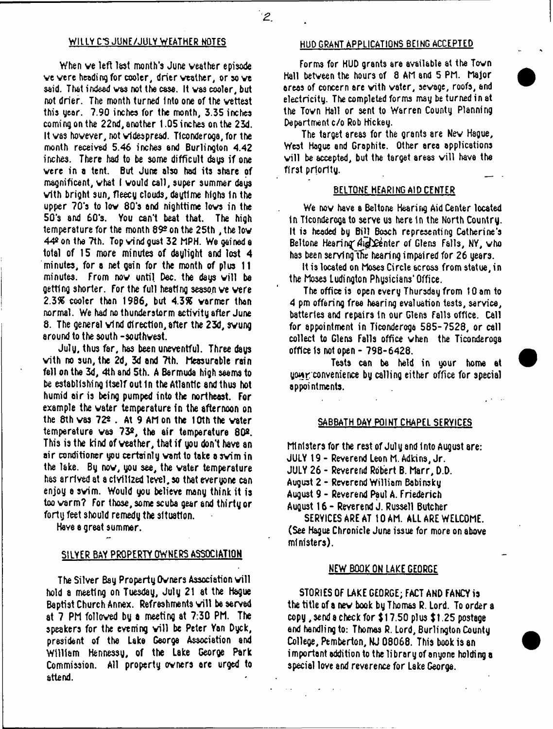# WILLY C.S. JUNE/JULY WEATHER NOTES HUD GRANT APPLICATIONS BEING ACCEPTED

When ve left last month's June veather episode ve vere heading for cooler, drier veather, or so we said. That indeed vas not the case. It vas cooler, but not drier. The month turned into one of the vettest this gear. 7.90 inches for the month, 3.35 inches coming on the 22nd, another 1.05 inches on the 23d. It vas hovever, not vldespread. Ticonderoga, for the month received 5.46 inches and Burlington 4.42 inches. There had to be some difficult days if one vere in a tent. But June also had its share of magnificent, what I would call, super summer days vith bright sun, fleecy clouds, daytime highs In the upper 70's to lov 80's and nighttime lovs in the 50's and 6Q's. You can't beat that. The high temperature for the month 89º on the 25th, the low 44s on the 7th. Top vind gust 32 MPH. We gained a total of 15 more minutes of daylight and lost 4 minutes, for a net gain for the month of plus 11 minutes. From now until Dec. the days will be getting shorter. For the full heating season ve vere 2.3% cooler than 1986, but 4.3% varmer than normal. We had no thunderstorm activity after June 8. The general vind direction,after the 23d, svung around to the south -southwest.

July, thus far, has been uneventful. Three days vith no sun, the 2d, 3d and 7th. Measurable rain fell on the 3d, 4th and 5th. A Bermuda high seems to be establishing Itself out In the Atlantic and thus hot humid air is being pumped into the northeast. For example the water temperature in the afternoon on the 8th was 72<sup>2</sup>. At 9 AM on the 10th the water temperature vas 732, the air temperature 80®. This is the kind of veather, that if you don't have an air conditioner you certainly varit to take asvim in the lake. By nov, you see, the water temperature has arrived at a civilized level, so that everyone can enjoy a svim. Would you believe many think it is too verm? For those, some scuba gear and thirty or forty feet should remedy the situation.

Have a great summer.

### SILVER BAY PROPERTY OWNERS ASSOCIATION

The Silver Bay Property Owners Association will hold a meeting on Tuesday, July 21 at the Hague Baptist Church Annex. Refreshments will be served at 7 PM followed by a meeting at 7:30 PM. The speakers for the evening will be Peter Yan Dyck, president of the Lake George Association and William Hennessg, of the Lake George Park Commission. All property owners arc urged to attend.

Forms for HUD grants are available at the Tovn Hall betveen the hours of 8 AM and 5 PM. Major areas of concern are vith vater, sewage, roofs, and electricity. The completed forms may be turned in at the Tovn Hall or sent to Warren County Planning Department c/o Rob Hickey.

The target areas for the grants are Nev Hague, West Hague and Graphite. Other area applications will be accepted, but the target areas will have the first priority.

## BELTONE HEARING AID CENTER

We now have a Beltone Hearing Aid Center located In Ticonderoga to serve us here 1n the North Country. It is heeded by Bill Bosch representing Catherine's Beltone Hearing  $A_{\text{left}}$  feature of Glens Falls, NY, who has been serving the hearing impaired for 26 years.

It is located on Moses Circle across from statue, in the Moses Ludington Physicians'Office.

The office is open every Thursday from 10 am to 4 pm offering free hearing evaluation tests, service, batteries and repairs in our Glens Falls office. Call for appointment in Ticonderoga 585-7528, or call collect to Glens Falls office when the Ticonderoga office Is not open - 798-6428.

Tests can be held in your home at your convenience by calling either office for special appointments.

# SABBATH DAY POINT CHAPEL SERVICES

Ministers for the rest of July and Into August are: JULY 19 - Reverend Leon M. Adkins, Jr. JULY 26 - Reverend Robert B. Marr, D.D. August 2 - Reverend William Bebinsky August 9 - Reverend Paul A. Friederich August 16 - Reverend J. Russell Butcher

SERVICES ARE AT 10 AM. ALL ARE WELCOME. (See Hague Chronicle June issue for more on above ministers).

## NEW BOOK ON LAKE GEORGE

STORIES OF LAKE GEORGE; FACT AND FANCY is the title of a nev book by Thomas R. Lord. To order a copy, send a check for \$17.50 plus \$1.25 postage and handling to: Thomas R. Lord, Burlington County College, Pemberton, NJ 08068. This book is an important addition to the library of anyone holding a special love and reverence for Lake George.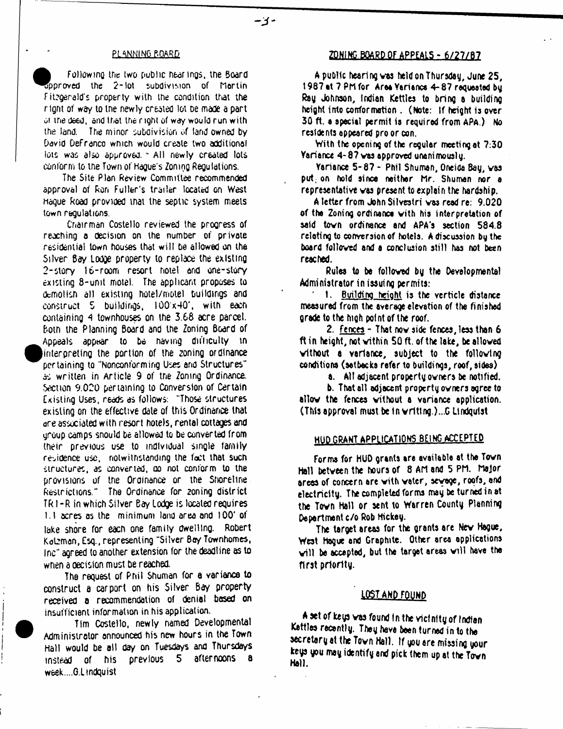Following the two public hearings, the Board Approved the 2 -lot subdivision of Martin Fitzgerald's property with the condition that the rtgnt of *w&y* to tne newly created lot be made a part 01 me deed, and that the right of way would run with the land. The minor subdivision of land owned by David Defrenco which would create two additional lots was also approved. \* All newly created lots conform to the Town of Hague's Zoning Regulations.

The Site Plan Review Committee recommended approval of Ron Fuller's trailer located on West Hague Road provided tnat the septic system meets town regulations.

Chairman Costello reviewed the progress of reaching a decision on the number of private residential town houses that will be allowed on the Silver Bay Lodge property to replace the existing 2-slory lb-room resort hotel and one-story existing 8-unit motel. The applicant proposes to demolish all existing hotel/motel buildings and construct 5 buildings, 100x40', with each containing 4 townhouses on the 3.68 acre parcel. Both the Planning Board and the Zoning Board of Appeals appear to be navmg difficulty tn (interpreting the portion of the zoning ordinance pertaining to "Nonconforming Uses and Structures" as written in Article 9 of the Zoning Ordinance. Section 9.020 pertaining to Conversion of Certain Existing Uses, reads as follows: "Those structures existing on the effective dale of this Ordinance that are associated with resort hotels, rental cottages and group camps snould be allowed to be converted from their previous use to individual single family residence use, notwithstanding the fact that such structures, as converted, ao not conform to the provisions of the Ordinance or the Shoreline Restrictions." The Ordinance for 2oning district TR1 -R in which Silver eay Lodge is located requires l.l acres as the minimum land area and 100' of lake shore for each one family dwelling. Robert Katzman, Esq., representing "Silver Bey Townhomes, Inc" agreed to another extension for the deadline as to when a decision must be reached.

The request of Phil Shuman for a variance to construct a carport on his Silver Bay property received a recommendation of denial based on insufficient information in his application.

Tim Costello, newly named Developmental Administrator announced his new hours in the Town Hall would be all day on Tuesdays and Thursdays instead of his previous 5 afternoons w6ek....G,Ltndquist

# PLANNING BOARD **ZONING BOARD OF APPEALS - 6/27/87**

A public hearing was held on Thursday, June 25, 1987 it 7 PM for Area Variance 4- 87 requested by Ray Johnson, Indian Kettles to bring a building height into conformation . (Note: If height is over 30 ft. a special permit is required from APa.) No residents appeared pro or con.

With the opening of the regular meeting at 7:30 Variance 4- 87 vas approved unani mously.

Variance 5-87 - Phil Shuman, Oneida Bay, was put; on hold since neither hr. Shuman nor a representative vas present to explain the hardship.

A letter from John Silvestri vas read re: 9.020 of the Zoning ordinance vith his interpretation of said tovn ordinance and APA's section 584.8 relating to conversion of hotels. A discussion by the board followed and a conclusion still has not been reached.

Rules to be followed by the Developmental Administrator in issuing permits:

1. Building height is the verticle distance measured from the average elevation of the finished Qrade to the htgh point of the roof.

2. Fences - That nov side fences, less than 6 ft in height, not within 50 ft. of the lake, be allowed without a variance, subject to the following conditions (setbacks refer to buildings, roof, sides)

a. All adjacent property owners be notified.

b. That all adjacent property owners agree to allow the fences without a variance application. (This approval must be In writing )...G Lindquist

# HUD GRANT APPLICATIONS BEING ACCEPTED

Forms for HUD grants are available at the Town Hall between the hours of 8 AM and 5 PM. Major areas of concern are with water, sewage, roofs, and electricity. The completed forms may be turned in at the Town Hall or sent to Warren County Planning Department c/o Rob Hickey.

The target areas for the grants are Nev Hague, West Hague and Graphite. Other area applications will be accepted, but the target areas will have the first priority.

## LOST AND FOUND

A set of keys was found In the wtctnlty of Indian Kettles recently. They have been turned in to the secretary at the Tovn Hall. If you are missing your keys you may identify and pick them up at the Town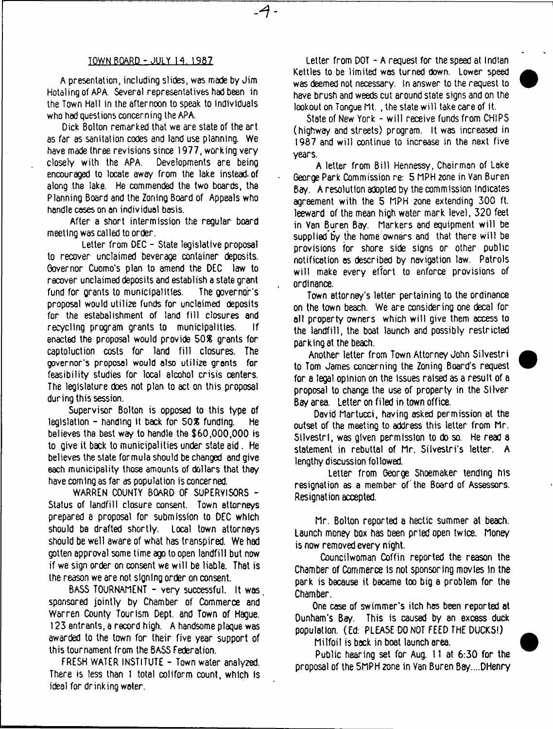## TOWN BOARD - JULY 14. *\3KL*

4 -

A presentation, including slides, was made by Jim Hotalingof APA. Several representatives had been in the Town Hall in the afternoon to speak to individuals who had questions concerning the APA.

Dick Bolton remarked that we are state of the art as far as sanitation codes and land use planning. We have made three revisions since 1977, working very closely with the APA. Developments are being encouraged to locate away from the lake instead, of along the lake. He commended the two boards, the Planning Board and the Zoning Board of Appeals who handle coses on an individual basis.

After a short intermission the regular board meeting was called to order.

Letter from DEC - State legislative proposal to recover unclaimed beverage container deposits. Governor Cuomo's plan to amend the DEC law to recover unclaimed deposits and establish a state grant fund for grants to municipalities. The governor's proposal would utilize funds for unclaimed deposits for the estabalishment of land fill closures and recycling program grants to municipalities. If enacted the proposal would provide 50% grants for captoluction costs for land fill closures. The governor's proposal would also utilize grants for feasibility studies for local alcohol crisis centers. The legislature does not plan to act on this proposal during this session.

Supervisor Bolton is opposed to this type of legislation  $-$  handing it back for  $50\%$  funding. He believes the best way to handle the \$60,000,000 is to give it back to municipalities under state aid. He believes the state formula should be changed and give each municipality those amounts of dollars that they have coming as far as population is concerned.

WARREN COUNTY BOARD OF SUPERVISORS - Status of landfill closure consent. Town attorneys prepared a proposal for submission to DEC which should be drafted shortly. Local town attorneys should be well aware of what has transpired. We had gotten approval some time ago to open landfill but now if we sign order on consent we will be liable. That is the reason we are not sfQnlng order on consent.

BASS TOURNAMENT - very successful. It was sponsored jointly by Chamber of Commerce and Warren County Tourism Dept, and Town of Hague. 123 entrants, a record high. A handsome plaque was awarded to the town for their five year support of this tournament from the BASS Federation.

FRESH WATER INSTITUTE - Town water analyzed. There is less than 1 total coliform count, which is ideal for drinking water.

Letter from DOT - A request for the speed at Indian Kettles to be limited was turned down. Lower speed was deemed not necessary. In answer to the request to have brush and weeds cut around state signs and on the lookout on Tonque Mt., the state will take care of it.

State of New York - w ill receive funds from CHIPS (highway and streets) program. It was increased in 1987 and will continue to increase in the next five years.

A letter from Bill Hennessy, Chairman of Lake George Park Commission re: 5 MPH 2one in Van Buren Bay. A resolution adopted by the commission Indicates agreement with the 5 MPH zone extending 300 ft. leeward of the mean high water mark level, 320 feet in Van Buren Bay. Markers and equipment w ill be supplied by the home owners and that there will be provisions for shore side signs or other public notification as described by navigation law. Patrols will make every effort to enforce provisions of ordinance.

Town attorney's letter pertaining to the ordinance on the town beach. We are considering one decal for all property owners which will give them access to the landfill, the boat launch and possibly restricted parking at the beach.

Another letter from Town Attorney John Silvestri to Tom James concerning the Zoning Board's request for a legal opinion on the issues raised as a result of a proposal to change the use of property in the Silver Bay area. Letter on filed in town office.

David Martucci, having asked permission at the outset of the meeting to address this letter from Mr. Silvestri, was given permission to do so. He read a statement in rebuttal of Mr. Silvestri's letter. A lengthy discussion followed.

Letter from George Shoemaker tending his resignation as a member of the Board of Assessors. Resignation accepted.

Mr. Bolton reported a hectic summer at beach. Launch money box has been pried open twice. Money is now removed every night.

Councilwoman Coffin reported the reason the Chamber of Commerce is not sponsoring movies in the park is because it became too big a problem for the Chamber.

One case of swimmer's itch has been reported at Dunham's Bay. This is caused by an excess duck population. (Ed: PLEASE DO NOT FEED THE DUCKS!)

Milfoil is back in boat launch area.

Public hearing set for Aug. 11 at 6:30 for the proposal of the 5MPH zone in Van Buren Bey....DHenry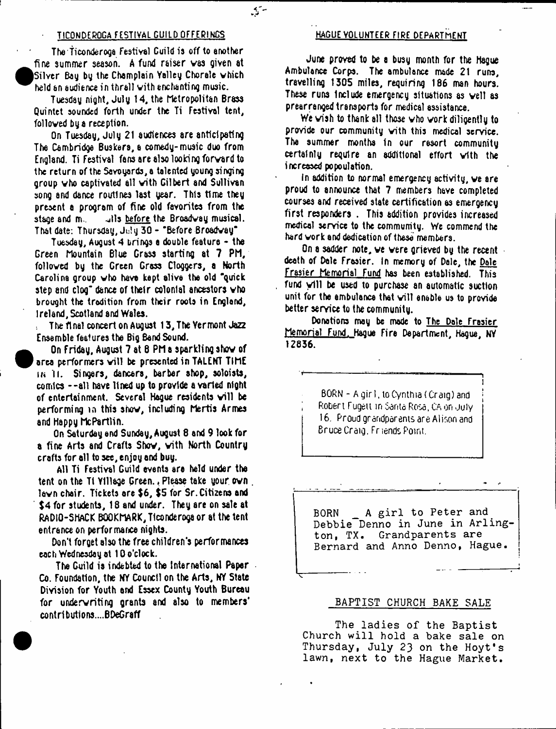## TICONDEROGA FESTIVAL GUILD OFFERINGS HAGUE VOLUNTEER FIRE DEPARTMENT

 $\mathcal{L}_{\mathbf{a}}$ 

The Ticonderoga Festival Guild is off to another fine summer season. A fund raiser vas given at Silver Bag by the Champlain Valley Chorale which held an audience in thrall vith enchanting music.

Tuesday night, July 14, the Metropolitan Brass Quintet sounded forth under the Ti Festival tent, followed by a reception.

On Tuesday, July 21 audiences are anticipating The Cambridge Buskers, a comedy-music duo from England. Ti Festival fans are also looking forvard to the return of the Savoyards, a talented young singing group vho captivated all vith Gilbert and Sullivan song and dance routines last year. This time they present a program of fine old favorites from the stage and m. Jils before the Broadway musical. That date: Thursday, July 30 - 'Before Broadway\*

Tuesday, August 4 brings a double feature - the Green Mountain Blue Grass starting at 7 PM, followed by the Green Gross Cloggers, a North Carolina group vho have kept alive the old "quick step and clog" dance of their colonial ancestors vho brought the tradition from their roots in England, Ireland, Scotland and Wales.

: The final concert on August 13, The Yermont Jazz Ensemble features the Big Band Sound.

On Friday, August 7 at 8 PM a sparkling show of area performers will be presented in TALENT TIME **in** II. Singers, dancers, barber shop, soloists, comics --all have lined up to provide a varied night of entertainment. Several Hague residents will be performing >n this show, including Mertis Armes and Happy McPartlin.

On Saturday end Sunday, August 8 and 9 look for a fine Arts and Crafts Show, vith North Country crafts for all to see, enjoy and buy.

All Ti Festival Guild events are held under the tent on the Tt Village Green. . Please take your own bvn chair. Tickets are \$6, \$5 for Sr.Citizens and \$4 for students, 18 and under. They are on sale at RADIO-SHACK BOOKMARK, Ticonderoga or at the tent entrance on performance nights.

Don't forget also the free children's performances each Wednesday at 10 o'clock.

The Guild is indebted to the International Paper Co. Foundation, the NY Council on the Arts, NY State Division for Youth end Essex County Youth Bureau for underwriting grants and also to members' contributions.... BDeGraff

June proved to be a busy month for the Hague Ambulance Corps. The ambulance made 21 runs, travelling 1305 miles, requiring 186 man hours. These runs Include emergency situations as veil as prearranged transports for medical assistance.

We wish to thank all those who work diligently to provide our community vith this medical service. The summer months in our resort community certainly require an additional effort vith the increased popoulation.

In addition to normal emergency activity, ve are proud to announce that 7 members have completed courses and received state certification as emergency first responders . This addition provides increased medical service to the community. We commend the hard work and dedication of these members.

On a sadder note, ve were grieved by the recent death of Dale Frasier. In memory of Dale, the Dale Frasier Memorial Fund has been established. This fund will be used to purchase an automatic suction unit for the ambulance that will enable us to provide better service to the community.

Donations may be mode to The Dale Frasier Memorial Fund. Hague Fire Department, Hague, NY 12836.

> $BORN - A$  girl, to Cynthia (Craig) and Robert Fugetl in Canto Rosa, CA on -July 16. Proud grandparents are Alison and Bruce Craig. Friends Point.

BORN A girl to Peter and Debbie Denno in June in Arlington, TX. Grandparents are Bernard and Anno Denno, Hague.

### BAPTIST CHURCH BAKE SALE

The ladies of the Baptist Church will hold a bake sale on Thursday, July 23 on the Hoyt's lawn, next to the Hague Market.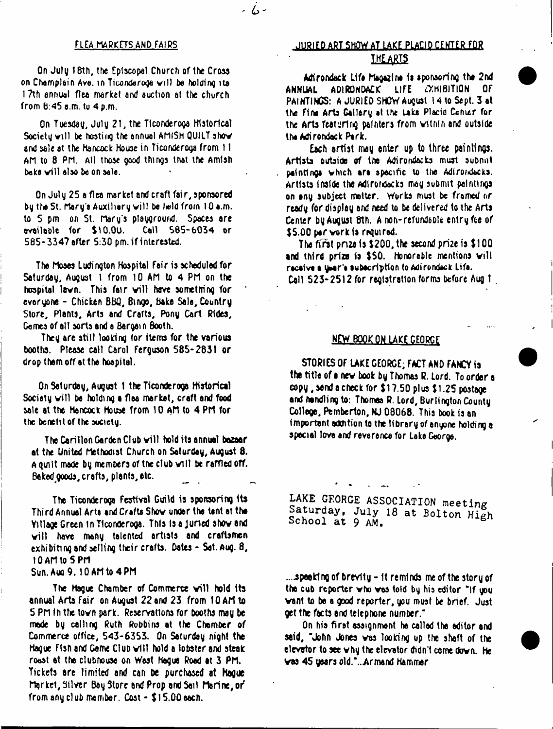- 6-

On July 18th, the Episcopal Church of the Cross on Champlain Ave. in Ticondaroga w ill bo holding its 17th annual flea market and auction at the church from 6:45 a.m. to 4 p.m.

On Tuesday, Julg 21, the Ticonderoga Historical Society will be hosting the annual AMlSH QUILT show and sale at the Hancock House in Ticonderoga from 11 AM to 8 PM. All those good things that the Amlsh bake will also be on sale.

On July 25 a flea market end craft fair, sponsored by the St. Mary's Auxiliary will be held from 10 a.m. to 5 pm on St. Mary's playground. Spaces are available tor \$10.0u. Call \$65-6034 or S85-3347 after 5:30 pm. if interested.

The Moses Ludington Hospital Fair is scheduled for Saturday, August 1 from 10 AM to 4 PM on the hospital lawn. This fair will have something for everyone - Chicken BtiQ, Bingo, bake Sale, Country Store, Plents, Arts and Crafts, Pony Cart Rides, Games of all sorts and a Bargai n Booth.

They are still looking for items for the various booths. Please call Carol Ferguson 585-2831 or drop them off at the hospital.

On Saturday, August 1 the Ticonderoga Historical Society will be holding a flea market, craft and food sale at the Hancock House from 10 AM to 4 PM for the benefit of the society.

The Carillon Garden Club will hold its annuel bazaar at the United Methodist Church on Saturday, August 8. A Quilt made by members of tne club will be raffled off. Baked goods, crafts, plants, etc. \_

The Ticonderoga Festival Guild is sponsoring Its Thi rd Annual Arts and Crafts Show under the lent at the Yillage Green in Ticonderoga. This is a juried show and will have many talented artists and craftsmen exhibiting and selling their crafts. Dates - Set. Aug. 8, 10 AM to 5 PM

## Sun. Auq9. 10 AM to 4 PM

The Hague Chamber of Commerce will hold its annual Arts fair on August 22 and 23 from 10 AM to 5 PM In the town park. Reservations for booths may be made by calling Ruth Robbins at the Chamber of Commerce office, 543-6353. On Saturday night the Hague F1sn and Game Club will hold a lobster and steak roast at the clubhouse on West Hague Road at 3 PM. Tickets are limited and can be purchased at Hague Market, Silver Bay Store and Prop and Sail Marine, *of* from any club member. Cost - \$15.00 each.

# FLEA MARKETS AND FAIRS **FAIRS** JURIED ART SHOW AT LAKE PLACID CENTER FOR **THE ARTS**

Adirondack Life Magazine is sponsoring the 2nd ANNUAL ADIRONDACK LIFE EXHIBITION Of PAINTINGS: A JURIED SHOW August 14 to Sept. 3 at the fine Arts Gallery at the Lake Placid Cenier for the Arts featuring painters from within and outside the Adirondack Park.

Each artist may enter up to three paintings. Artists outside of the Adirondacks must submit paintings which are specific to the Adirondacks. Artists inside the Adirondacks may submit paintings on any subject motter. Works must be framed nr ready for display and need to be delivered to the Arts Center by August 8th. A non-refundable entry fee of \$5.00 per work is required.

The first pn2e is \$200, the second prize is \$100 and third prize is \$50. Honorable mentions will racaive a year's subscription to Adirondeck Life. Call 523-2512 for registration forms before Aug t .

# NEW BOOK ON LAKE GEORGE

STORIES OF LAKE GEORGE; FACT AND FANCY is the title of a nev book by Thomas R. Lord. To order a copy, send a check for \$17.50 plus \$ 1.25 postage and handling to: Thomas R. Lord, Burlington County College, Pemberton, NJ 08068. This book is an important addition to the library of anyone holding a special love and reverence for Lake George.

**LAKE CEORGE ASSOCIATION meeting Saturday, July 18 at Bolton High School at** 9 AM.

....speaking of brevity - it reminds me of the story of the cub reporter who was told by his editor "If you want to be a good reporter, you must be brief. Just get the facts and telephone number."

On hia first assignment he called the editor and said, "John Jones was looking up the shaft of the elevator to see why the elevator didn't come down. He vas 45 years old."...Armend Hammer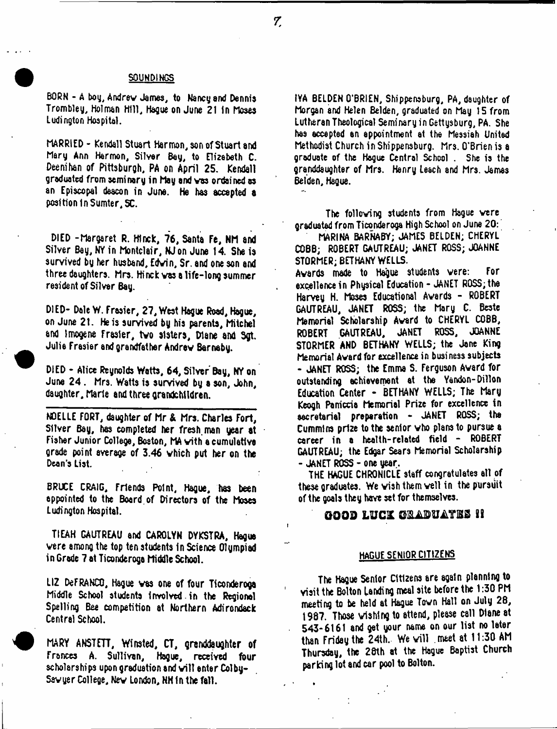### SOUNDINGS

BORN - A boy, Andrew James, to Nancy and Dennis Trombley, Holman Hill, Hague on June 21 in Moses Lading ton Hospital.

MARRIED - Kendall Stuart Harmon, son of Stuart and Mary Ann Harmon, Silver Bey, to Elizabeth C. Deenihan of Pittsburgh, PA on April 25. Kendall graduated from seminary in May and vas ordained as an Episcopal deacon in June. He has accepted a position In Sumter, SC.

DIED -Margaret R. Hlnck, 76, Santa Fe, NM and Silver Bay, NY in Montclair, NJon June 14. She is survived by her husband, Edwin, Sr. and one son and three daughters. Mrs. Hinck vas a life-long summer resident of Silver Bay.

D) ED- Dale W, Frasier, 27, West Hague Road, Hague, on June 2t. He is survived by his parents, Mitchel and Imogens Frasier, two sisters, Diane and Sgt. Julie Frasier and grandfather Andrew Barnaby.

DIED - Alice Reynolds Watts, 64, Silver Bay, NY on June 24. Mrs. Watts is survived by a son, John, daughter, Marie and three grandchildren.

NOELLE FORT, daughter of Mr & Mrs. Charles Fort, Silver Bay, has completed her fresh, man year at Fisher Junior College, Boston, MA with a cumulative grade point average of 3.46 which put her on the Dean's List.

BRUCE CRAIG, Friends Point, Hague, has been appointed to the Board.of Directors of the Moses Ludington Hospital.

T1EAH GAUTREAU and CAROLYN DYKSTRA, Hague were among the top ten students in Science Olympiad in Grade 7 at Ticonderoga Middle School.

LIZ DeFRANCO, Hague vas one of four Ticonderoga Middle School students involved in the Regional Spelling Bee competition at Northern Adirondack Central School.

MARY ANSTFTT, Winsted, CT, granddaughter of Frances A. Sullivan, Hague, received four scholarships upon graduation and will enter Colby-Sawyer College, Nev London, NH In the fall.

IYA BELDEN O'BRIEN, Shippenaburg, PA, daughter of Morgan and Helen Belden, graduated on May 15 from Lutheran Theological Seminary in Gettysburg, PA. She has accepted an appointment at the Messiah United Methodist Church in Shippensburg. Mrs. O'Brien is a graduate of the Hogue Central School . She is the granddaughter of Mrs. Henry Leach and Mrs. James Betden, Hague.

The following students from Hague vere graduated from Ticonderoga High School on June 20:

MARINA BARNABY; JAMES BELDEN; CHERYL COBB; ROBERT GAUTREAU; JANET ROSS; JOANNE STORMER; BETHANY WELLS.

Awards made to Hague students were: For excellence in Physical Education - JANET ROSS; the Harvey H. Moses Educational Awards - ROBERT GAUTREAU, JANET ROSS; the Mary C. Beste Memorial Scholarship Award to CHERYL COBB, ROBERT GAUTREAU, JANET ROSS, JOANNE STORMER AND BETHANY WELLS; the Jane King Memorial Award for excellence in business subjects - JANET ROSS; the Emma S. Ferguson Award for outstanding achievement at the Yandon-Dillon Education Center - BETHANY WELLS; The Mary Keogh Parriccia Memorial Prize for excellence in aecretarial preparation - JANET ROSS; the Cummins prize to the senior vho plans to pursue a career in a health-related field - ROBERT GAUTREAU; the Edgar Sears Memorial Scholarship - JANET ROSS - one year.

THE HAGUE CHRONICLE staff congratulates all of these graduates. We wish them veil in the pursuit of the goals they have set for themselves.

# GOOD L U C I G&AOTii'iriBB *U*

## HAGUE SENIOR CITIZENS

The Hague Senior Citizens are again planning to visit the Bolton landing meal site before the 1:30 PM meeting to be held at Hague Town Hall on July 28, 1987. Those wishing to attend, please C811 Diane at 543-6161 and get your name on our list no later than Friday the 24th. We will meet at 11:30 AM Thursday, the 28th at the Hague Baptist Church parking lot and car pool to Bolton.

7.